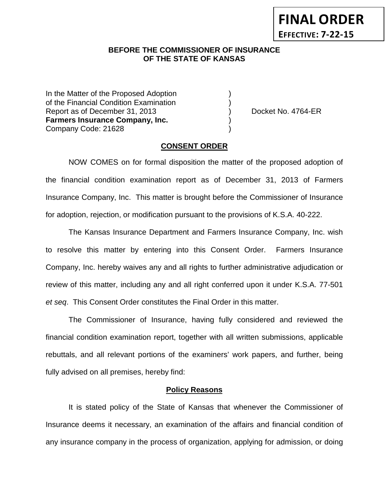**FINAL ORDER EFFECTIVE: 7-22-15**

## **BEFORE THE COMMISSIONER OF INSURANCE OF THE STATE OF KANSAS**

In the Matter of the Proposed Adoption of the Financial Condition Examination ) Report as of December 31, 2013 (and Separation Control of Art Area Point Art Area Point Art Area Point Art Are **Farmers Insurance Company, Inc.** ) Company Code: 21628 )

### **CONSENT ORDER**

NOW COMES on for formal disposition the matter of the proposed adoption of the financial condition examination report as of December 31, 2013 of Farmers Insurance Company, Inc. This matter is brought before the Commissioner of Insurance for adoption, rejection, or modification pursuant to the provisions of K.S.A. 40-222.

The Kansas Insurance Department and Farmers Insurance Company, Inc. wish to resolve this matter by entering into this Consent Order. Farmers Insurance Company, Inc. hereby waives any and all rights to further administrative adjudication or review of this matter, including any and all right conferred upon it under K.S.A. 77-501 *et seq*. This Consent Order constitutes the Final Order in this matter.

The Commissioner of Insurance, having fully considered and reviewed the financial condition examination report, together with all written submissions, applicable rebuttals, and all relevant portions of the examiners' work papers, and further, being fully advised on all premises, hereby find:

#### **Policy Reasons**

It is stated policy of the State of Kansas that whenever the Commissioner of Insurance deems it necessary, an examination of the affairs and financial condition of any insurance company in the process of organization, applying for admission, or doing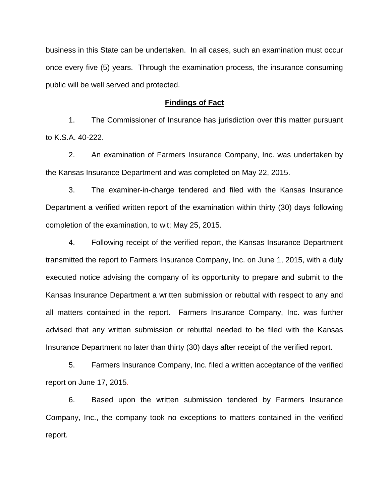business in this State can be undertaken. In all cases, such an examination must occur once every five (5) years. Through the examination process, the insurance consuming public will be well served and protected.

#### **Findings of Fact**

1. The Commissioner of Insurance has jurisdiction over this matter pursuant to K.S.A. 40-222.

2. An examination of Farmers Insurance Company, Inc. was undertaken by the Kansas Insurance Department and was completed on May 22, 2015.

3. The examiner-in-charge tendered and filed with the Kansas Insurance Department a verified written report of the examination within thirty (30) days following completion of the examination, to wit; May 25, 2015.

4. Following receipt of the verified report, the Kansas Insurance Department transmitted the report to Farmers Insurance Company, Inc. on June 1, 2015, with a duly executed notice advising the company of its opportunity to prepare and submit to the Kansas Insurance Department a written submission or rebuttal with respect to any and all matters contained in the report. Farmers Insurance Company, Inc. was further advised that any written submission or rebuttal needed to be filed with the Kansas Insurance Department no later than thirty (30) days after receipt of the verified report.

5. Farmers Insurance Company, Inc. filed a written acceptance of the verified report on June 17, 2015.

6. Based upon the written submission tendered by Farmers Insurance Company, Inc., the company took no exceptions to matters contained in the verified report.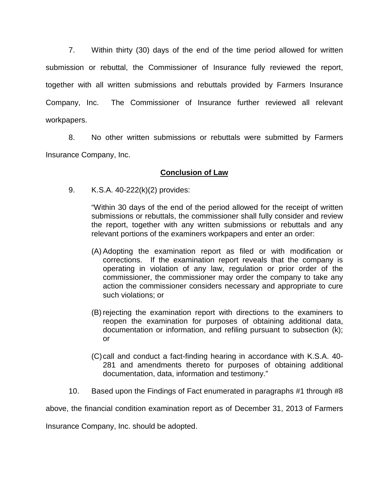7. Within thirty (30) days of the end of the time period allowed for written submission or rebuttal, the Commissioner of Insurance fully reviewed the report, together with all written submissions and rebuttals provided by Farmers Insurance Company, Inc. The Commissioner of Insurance further reviewed all relevant workpapers.

8. No other written submissions or rebuttals were submitted by Farmers Insurance Company, Inc.

# **Conclusion of Law**

9. K.S.A. 40-222(k)(2) provides:

"Within 30 days of the end of the period allowed for the receipt of written submissions or rebuttals, the commissioner shall fully consider and review the report, together with any written submissions or rebuttals and any relevant portions of the examiners workpapers and enter an order:

- (A) Adopting the examination report as filed or with modification or corrections. If the examination report reveals that the company is operating in violation of any law, regulation or prior order of the commissioner, the commissioner may order the company to take any action the commissioner considers necessary and appropriate to cure such violations; or
- (B) rejecting the examination report with directions to the examiners to reopen the examination for purposes of obtaining additional data, documentation or information, and refiling pursuant to subsection (k); or
- (C)call and conduct a fact-finding hearing in accordance with K.S.A. 40- 281 and amendments thereto for purposes of obtaining additional documentation, data, information and testimony."
- 10. Based upon the Findings of Fact enumerated in paragraphs #1 through #8

above, the financial condition examination report as of December 31, 2013 of Farmers

Insurance Company, Inc. should be adopted.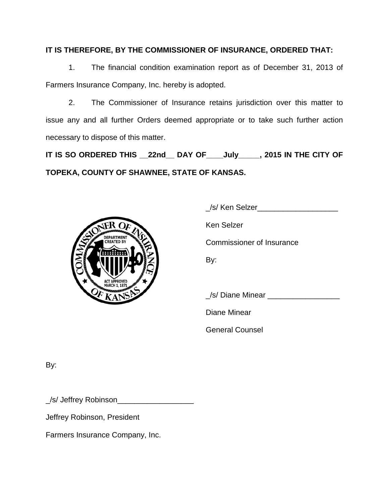# **IT IS THEREFORE, BY THE COMMISSIONER OF INSURANCE, ORDERED THAT:**

1. The financial condition examination report as of December 31, 2013 of Farmers Insurance Company, Inc. hereby is adopted.

2. The Commissioner of Insurance retains jurisdiction over this matter to issue any and all further Orders deemed appropriate or to take such further action necessary to dispose of this matter.

**IT IS SO ORDERED THIS \_\_22nd\_\_ DAY OF\_\_\_\_July\_\_\_\_\_, 2015 IN THE CITY OF TOPEKA, COUNTY OF SHAWNEE, STATE OF KANSAS.**



| _/s/ Ken Selzer__                |
|----------------------------------|
| Ken Selzer                       |
| <b>Commissioner of Insurance</b> |
| By:                              |
|                                  |
| /s/ Diane Minear __              |
|                                  |

Diane Minear

General Counsel

By:

\_/s/ Jeffrey Robinson\_\_\_\_\_\_\_\_\_\_\_\_\_\_\_\_\_\_

Jeffrey Robinson, President

Farmers Insurance Company, Inc.